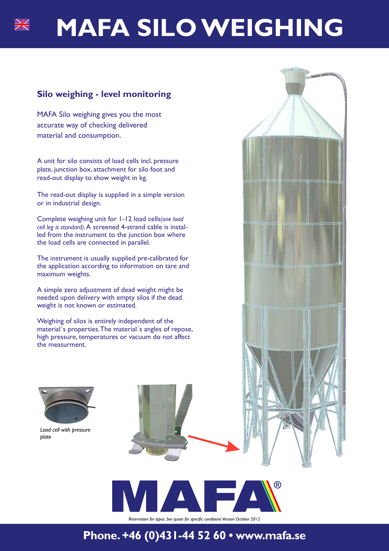# **MAFA SILO WEIGHING**

### **Silo weighing - level monitoring**

MAFA Silo weighing gives you the most accurate way of checking delivered material and consumption.

A unit for silo consists of load cells incl. pressure plate, junction box, attachment for silo foot and read-out display to show weight in kg.

The read-out display is supplied in a simple version or in industrial design.

Complete weighing unit for 1-12 load cells*(one load cell leg is standard)*. A screened 4-strand cable is installed from the instrument to the junction box where the load cells are connected in parallel.

The instrument is usually supplied pre-calibrated for the application according to information on tare and maximum weights.

A simple zero adjustment of dead weight might be needed upon delivery with empty silos if the dead weight is not known or estimated.

Weighing of silos is entirely independent of the material´s properties. The material´s angles of repose, high pressure, temperatures or vacuum do not affect the measurment.



*Load cell with pressure plate*



*Reservation for typos. See quote for specific conditions. Version October 2012*

## **Phone. +46 (0)431-44 52 60 • www.mafa.se**